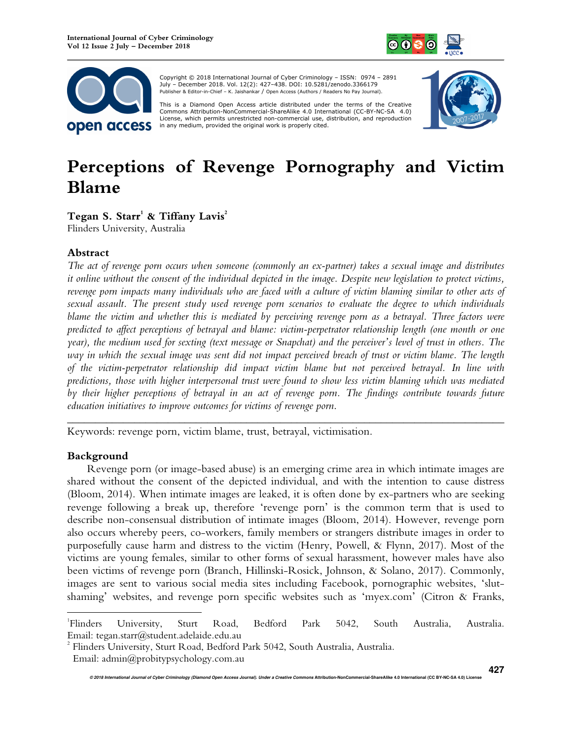



Copyright © 2018 International Journal of Cyber Criminology – ISSN: 0974 – 2891 July – December 2018. Vol. 12(2): 427–438. DOI: 10.5281/zenodo.3366179 Publisher & Editor-in-Chief – K. Jaishankar / Open Access (Authors / Readers No Pay Journal).

This is a Diamond Open Access article distributed under the terms of the Creative<br>Commons Attribution-NonCommercial-ShareAlike 4.0 International (CC-BY-NC-SA 4.0) License, which permits unrestricted non-commercial use, distribution, and reproduction in any medium, provided the original work is properly cited.



# **Perceptions of Revenge Pornography and Victim Blame**

**Tegan S. Starr<sup>1</sup> & Tiffany Lavis<sup>2</sup>**

Flinders University, Australia

# **Abstract**

*The act of revenge porn occurs when someone (commonly an ex-partner) takes a sexual image and distributes it online without the consent of the individual depicted in the image. Despite new legislation to protect victims, revenge porn impacts many individuals who are faced with a culture of victim blaming similar to other acts of sexual assault. The present study used revenge porn scenarios to evaluate the degree to which individuals blame the victim and whether this is mediated by perceiving revenge porn as a betrayal. Three factors were predicted to affect perceptions of betrayal and blame: victim-perpetrator relationship length (one month or one year), the medium used for sexting (text message or Snapchat) and the perceiver's level of trust in others. The way in which the sexual image was sent did not impact perceived breach of trust or victim blame. The length of the victim-perpetrator relationship did impact victim blame but not perceived betrayal. In line with predictions, those with higher interpersonal trust were found to show less victim blaming which was mediated by their higher perceptions of betrayal in an act of revenge porn. The findings contribute towards future education initiatives to improve outcomes for victims of revenge porn*.

*\_\_\_\_\_\_\_\_\_\_\_\_\_\_\_\_\_\_\_\_\_\_\_\_\_\_\_\_\_\_\_\_\_\_\_\_\_\_\_\_\_\_\_\_\_\_\_\_\_\_\_\_\_\_\_\_\_\_\_\_\_\_\_\_\_\_\_\_\_\_\_\_\_\_\_\_\_\_* 

Keywords: revenge porn, victim blame, trust, betrayal, victimisation.

## **Background**

 $\overline{a}$ 

Revenge porn (or image-based abuse) is an emerging crime area in which intimate images are shared without the consent of the depicted individual, and with the intention to cause distress (Bloom, 2014). When intimate images are leaked, it is often done by ex-partners who are seeking revenge following a break up, therefore 'revenge porn' is the common term that is used to describe non-consensual distribution of intimate images (Bloom, 2014). However, revenge porn also occurs whereby peers, co-workers, family members or strangers distribute images in order to purposefully cause harm and distress to the victim (Henry, Powell, & Flynn, 2017). Most of the victims are young females, similar to other forms of sexual harassment, however males have also been victims of revenge porn (Branch, Hillinski-Rosick, Johnson, & Solano, 2017). Commonly, images are sent to various social media sites including Facebook, pornographic websites, 'slutshaming' websites, and revenge porn specific websites such as 'myex.com' (Citron & Franks,

<sup>&</sup>lt;sup>1</sup>Flinders Flinders University, Sturt Road, Bedford Park 5042, South Australia, Australia. Email: tegan.starr@student.adelaide.edu.au

<sup>2</sup> Flinders University, Sturt Road, Bedford Park 5042, South Australia, Australia. Email: admin@probitypsychology.com.au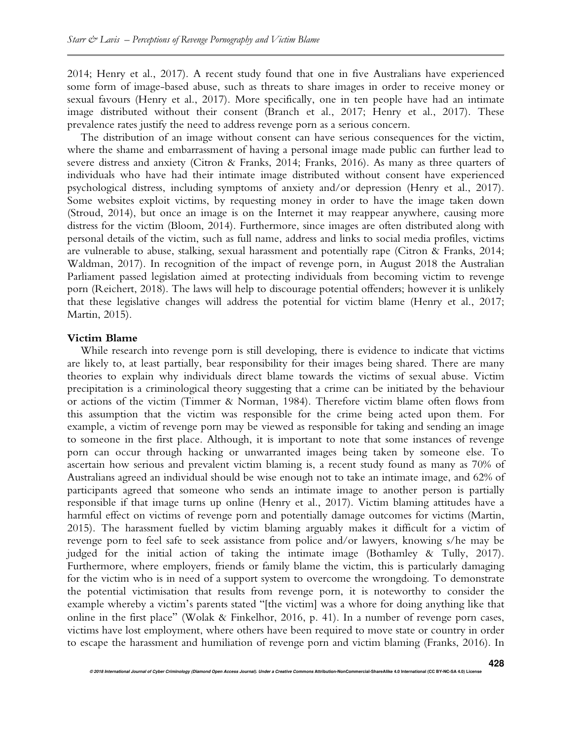2014; Henry et al., 2017). A recent study found that one in five Australians have experienced some form of image-based abuse, such as threats to share images in order to receive money or sexual favours (Henry et al., 2017). More specifically, one in ten people have had an intimate image distributed without their consent (Branch et al., 2017; Henry et al., 2017). These prevalence rates justify the need to address revenge porn as a serious concern.

The distribution of an image without consent can have serious consequences for the victim, where the shame and embarrassment of having a personal image made public can further lead to severe distress and anxiety (Citron & Franks, 2014; Franks, 2016). As many as three quarters of individuals who have had their intimate image distributed without consent have experienced psychological distress, including symptoms of anxiety and/or depression (Henry et al., 2017). Some websites exploit victims, by requesting money in order to have the image taken down (Stroud, 2014), but once an image is on the Internet it may reappear anywhere, causing more distress for the victim (Bloom, 2014). Furthermore, since images are often distributed along with personal details of the victim, such as full name, address and links to social media profiles, victims are vulnerable to abuse, stalking, sexual harassment and potentially rape (Citron & Franks, 2014; Waldman, 2017). In recognition of the impact of revenge porn, in August 2018 the Australian Parliament passed legislation aimed at protecting individuals from becoming victim to revenge porn (Reichert, 2018). The laws will help to discourage potential offenders; however it is unlikely that these legislative changes will address the potential for victim blame (Henry et al., 2017; Martin, 2015).

## **Victim Blame**

While research into revenge porn is still developing, there is evidence to indicate that victims are likely to, at least partially, bear responsibility for their images being shared. There are many theories to explain why individuals direct blame towards the victims of sexual abuse. Victim precipitation is a criminological theory suggesting that a crime can be initiated by the behaviour or actions of the victim (Timmer & Norman, 1984). Therefore victim blame often flows from this assumption that the victim was responsible for the crime being acted upon them. For example, a victim of revenge porn may be viewed as responsible for taking and sending an image to someone in the first place. Although, it is important to note that some instances of revenge porn can occur through hacking or unwarranted images being taken by someone else. To ascertain how serious and prevalent victim blaming is, a recent study found as many as 70% of Australians agreed an individual should be wise enough not to take an intimate image, and 62% of participants agreed that someone who sends an intimate image to another person is partially responsible if that image turns up online (Henry et al., 2017). Victim blaming attitudes have a harmful effect on victims of revenge porn and potentially damage outcomes for victims (Martin, 2015). The harassment fuelled by victim blaming arguably makes it difficult for a victim of revenge porn to feel safe to seek assistance from police and/or lawyers, knowing s/he may be judged for the initial action of taking the intimate image (Bothamley & Tully, 2017). Furthermore, where employers, friends or family blame the victim, this is particularly damaging for the victim who is in need of a support system to overcome the wrongdoing. To demonstrate the potential victimisation that results from revenge porn, it is noteworthy to consider the example whereby a victim's parents stated "[the victim] was a whore for doing anything like that online in the first place" (Wolak & Finkelhor, 2016, p. 41). In a number of revenge porn cases, victims have lost employment, where others have been required to move state or country in order to escape the harassment and humiliation of revenge porn and victim blaming (Franks, 2016). In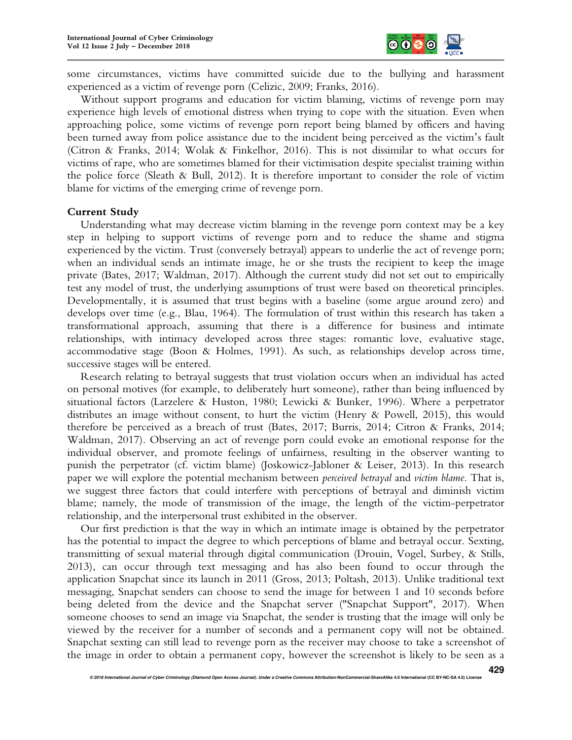

some circumstances, victims have committed suicide due to the bullying and harassment experienced as a victim of revenge porn (Celizic, 2009; Franks, 2016).

Without support programs and education for victim blaming, victims of revenge porn may experience high levels of emotional distress when trying to cope with the situation. Even when approaching police, some victims of revenge porn report being blamed by officers and having been turned away from police assistance due to the incident being perceived as the victim's fault (Citron & Franks, 2014; Wolak & Finkelhor, 2016). This is not dissimilar to what occurs for victims of rape, who are sometimes blamed for their victimisation despite specialist training within the police force (Sleath & Bull, 2012). It is therefore important to consider the role of victim blame for victims of the emerging crime of revenge porn.

## **Current Study**

Understanding what may decrease victim blaming in the revenge porn context may be a key step in helping to support victims of revenge porn and to reduce the shame and stigma experienced by the victim. Trust (conversely betrayal) appears to underlie the act of revenge porn; when an individual sends an intimate image, he or she trusts the recipient to keep the image private (Bates, 2017; Waldman, 2017). Although the current study did not set out to empirically test any model of trust, the underlying assumptions of trust were based on theoretical principles. Developmentally, it is assumed that trust begins with a baseline (some argue around zero) and develops over time (e.g., Blau, 1964). The formulation of trust within this research has taken a transformational approach, assuming that there is a difference for business and intimate relationships, with intimacy developed across three stages: romantic love, evaluative stage, accommodative stage (Boon & Holmes, 1991). As such, as relationships develop across time, successive stages will be entered.

Research relating to betrayal suggests that trust violation occurs when an individual has acted on personal motives (for example, to deliberately hurt someone), rather than being influenced by situational factors (Larzelere & Huston, 1980; Lewicki & Bunker, 1996). Where a perpetrator distributes an image without consent, to hurt the victim (Henry & Powell, 2015), this would therefore be perceived as a breach of trust (Bates, 2017; Burris, 2014; Citron & Franks, 2014; Waldman, 2017). Observing an act of revenge porn could evoke an emotional response for the individual observer, and promote feelings of unfairness, resulting in the observer wanting to punish the perpetrator (cf. victim blame) (Joskowicz-Jabloner & Leiser, 2013). In this research paper we will explore the potential mechanism between *perceived betrayal* and *victim blame*. That is, we suggest three factors that could interfere with perceptions of betrayal and diminish victim blame; namely, the mode of transmission of the image, the length of the victim-perpetrator relationship, and the interpersonal trust exhibited in the observer.

Our first prediction is that the way in which an intimate image is obtained by the perpetrator has the potential to impact the degree to which perceptions of blame and betrayal occur. Sexting, transmitting of sexual material through digital communication (Drouin, Vogel, Surbey, & Stills, 2013), can occur through text messaging and has also been found to occur through the application Snapchat since its launch in 2011 (Gross, 2013; Poltash, 2013). Unlike traditional text messaging, Snapchat senders can choose to send the image for between 1 and 10 seconds before being deleted from the device and the Snapchat server ("Snapchat Support", 2017). When someone chooses to send an image via Snapchat, the sender is trusting that the image will only be viewed by the receiver for a number of seconds and a permanent copy will not be obtained. Snapchat sexting can still lead to revenge porn as the receiver may choose to take a screenshot of the image in order to obtain a permanent copy, however the screenshot is likely to be seen as a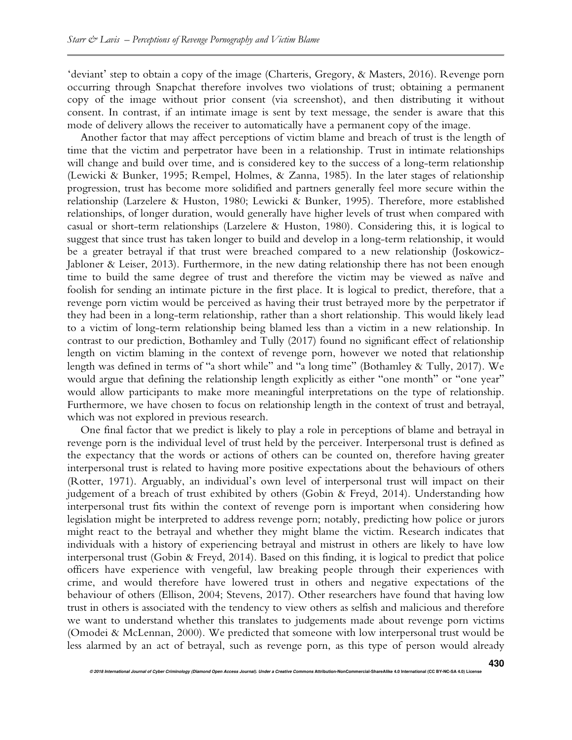'deviant' step to obtain a copy of the image (Charteris, Gregory, & Masters, 2016). Revenge porn occurring through Snapchat therefore involves two violations of trust; obtaining a permanent copy of the image without prior consent (via screenshot), and then distributing it without consent. In contrast, if an intimate image is sent by text message, the sender is aware that this mode of delivery allows the receiver to automatically have a permanent copy of the image.

Another factor that may affect perceptions of victim blame and breach of trust is the length of time that the victim and perpetrator have been in a relationship. Trust in intimate relationships will change and build over time, and is considered key to the success of a long-term relationship (Lewicki & Bunker, 1995; Rempel, Holmes, & Zanna, 1985). In the later stages of relationship progression, trust has become more solidified and partners generally feel more secure within the relationship (Larzelere & Huston, 1980; Lewicki & Bunker, 1995). Therefore, more established relationships, of longer duration, would generally have higher levels of trust when compared with casual or short-term relationships (Larzelere & Huston, 1980). Considering this, it is logical to suggest that since trust has taken longer to build and develop in a long-term relationship, it would be a greater betrayal if that trust were breached compared to a new relationship (Joskowicz-Jabloner & Leiser, 2013). Furthermore, in the new dating relationship there has not been enough time to build the same degree of trust and therefore the victim may be viewed as naïve and foolish for sending an intimate picture in the first place. It is logical to predict, therefore, that a revenge porn victim would be perceived as having their trust betrayed more by the perpetrator if they had been in a long-term relationship, rather than a short relationship. This would likely lead to a victim of long-term relationship being blamed less than a victim in a new relationship. In contrast to our prediction, Bothamley and Tully (2017) found no significant effect of relationship length on victim blaming in the context of revenge porn, however we noted that relationship length was defined in terms of "a short while" and "a long time" (Bothamley & Tully, 2017). We would argue that defining the relationship length explicitly as either "one month" or "one year" would allow participants to make more meaningful interpretations on the type of relationship. Furthermore, we have chosen to focus on relationship length in the context of trust and betrayal, which was not explored in previous research.

One final factor that we predict is likely to play a role in perceptions of blame and betrayal in revenge porn is the individual level of trust held by the perceiver. Interpersonal trust is defined as the expectancy that the words or actions of others can be counted on, therefore having greater interpersonal trust is related to having more positive expectations about the behaviours of others (Rotter, 1971). Arguably, an individual's own level of interpersonal trust will impact on their judgement of a breach of trust exhibited by others (Gobin & Freyd, 2014). Understanding how interpersonal trust fits within the context of revenge porn is important when considering how legislation might be interpreted to address revenge porn; notably, predicting how police or jurors might react to the betrayal and whether they might blame the victim. Research indicates that individuals with a history of experiencing betrayal and mistrust in others are likely to have low interpersonal trust (Gobin & Freyd, 2014). Based on this finding, it is logical to predict that police officers have experience with vengeful, law breaking people through their experiences with crime, and would therefore have lowered trust in others and negative expectations of the behaviour of others (Ellison, 2004; Stevens, 2017). Other researchers have found that having low trust in others is associated with the tendency to view others as selfish and malicious and therefore we want to understand whether this translates to judgements made about revenge porn victims (Omodei & McLennan, 2000). We predicted that someone with low interpersonal trust would be less alarmed by an act of betrayal, such as revenge porn, as this type of person would already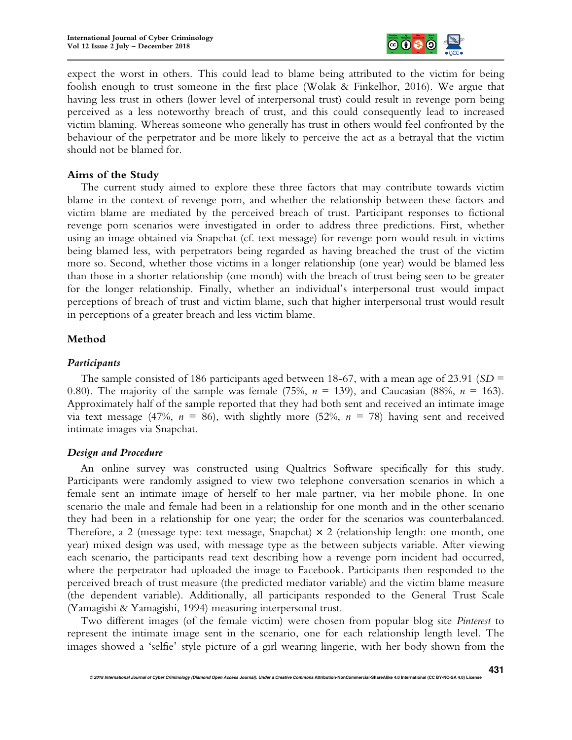

expect the worst in others. This could lead to blame being attributed to the victim for being foolish enough to trust someone in the first place (Wolak & Finkelhor, 2016). We argue that having less trust in others (lower level of interpersonal trust) could result in revenge porn being perceived as a less noteworthy breach of trust, and this could consequently lead to increased victim blaming. Whereas someone who generally has trust in others would feel confronted by the behaviour of the perpetrator and be more likely to perceive the act as a betrayal that the victim should not be blamed for.

## **Aims of the Study**

The current study aimed to explore these three factors that may contribute towards victim blame in the context of revenge porn, and whether the relationship between these factors and victim blame are mediated by the perceived breach of trust. Participant responses to fictional revenge porn scenarios were investigated in order to address three predictions. First, whether using an image obtained via Snapchat (cf. text message) for revenge porn would result in victims being blamed less, with perpetrators being regarded as having breached the trust of the victim more so. Second, whether those victims in a longer relationship (one year) would be blamed less than those in a shorter relationship (one month) with the breach of trust being seen to be greater for the longer relationship. Finally, whether an individual's interpersonal trust would impact perceptions of breach of trust and victim blame, such that higher interpersonal trust would result in perceptions of a greater breach and less victim blame.

# **Method**

## *Participants*

The sample consisted of 186 participants aged between 18-67, with a mean age of 23.91 (*SD* = 0.80). The majority of the sample was female  $(75\%, n = 139)$ , and Caucasian  $(88\%, n = 163)$ . Approximately half of the sample reported that they had both sent and received an intimate image via text message (47%,  $n = 86$ ), with slightly more (52%,  $n = 78$ ) having sent and received intimate images via Snapchat.

## *Design and Procedure*

An online survey was constructed using Qualtrics Software specifically for this study. Participants were randomly assigned to view two telephone conversation scenarios in which a female sent an intimate image of herself to her male partner, via her mobile phone. In one scenario the male and female had been in a relationship for one month and in the other scenario they had been in a relationship for one year; the order for the scenarios was counterbalanced. Therefore, a 2 (message type: text message, Snapchat)  $\times$  2 (relationship length: one month, one year) mixed design was used, with message type as the between subjects variable. After viewing each scenario, the participants read text describing how a revenge porn incident had occurred, where the perpetrator had uploaded the image to Facebook. Participants then responded to the perceived breach of trust measure (the predicted mediator variable) and the victim blame measure (the dependent variable). Additionally, all participants responded to the General Trust Scale (Yamagishi & Yamagishi, 1994) measuring interpersonal trust.

Two different images (of the female victim) were chosen from popular blog site *Pinterest* to represent the intimate image sent in the scenario, one for each relationship length level. The images showed a 'selfie' style picture of a girl wearing lingerie, with her body shown from the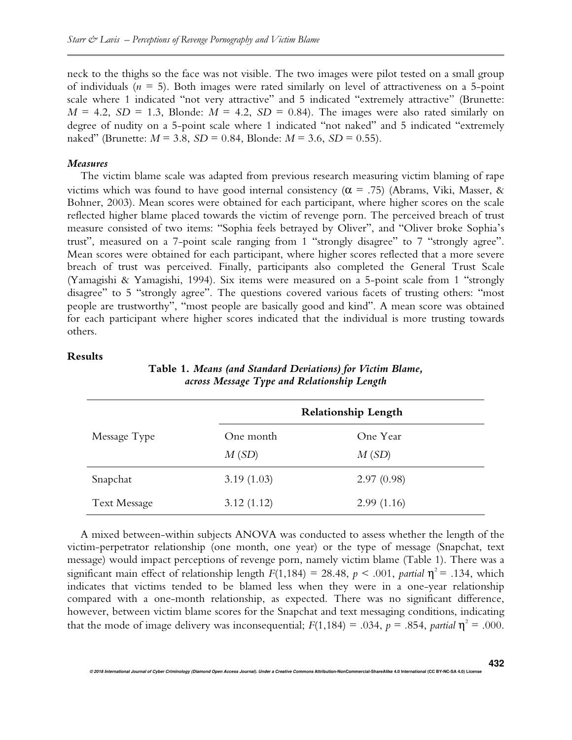neck to the thighs so the face was not visible. The two images were pilot tested on a small group of individuals  $(n = 5)$ . Both images were rated similarly on level of attractiveness on a 5-point scale where 1 indicated "not very attractive" and 5 indicated "extremely attractive" (Brunette:  $M = 4.2$ ,  $SD = 1.3$ , Blonde:  $M = 4.2$ ,  $SD = 0.84$ ). The images were also rated similarly on degree of nudity on a 5-point scale where 1 indicated "not naked" and 5 indicated "extremely naked" (Brunette: *M* = 3.8, *SD* = 0.84, Blonde: *M* = 3.6, *SD* = 0.55).

#### *Measures*

The victim blame scale was adapted from previous research measuring victim blaming of rape victims which was found to have good internal consistency ( $\alpha$  = .75) (Abrams, Viki, Masser, & Bohner, 2003). Mean scores were obtained for each participant, where higher scores on the scale reflected higher blame placed towards the victim of revenge porn. The perceived breach of trust measure consisted of two items: "Sophia feels betrayed by Oliver", and "Oliver broke Sophia's trust", measured on a 7-point scale ranging from 1 "strongly disagree" to 7 "strongly agree". Mean scores were obtained for each participant, where higher scores reflected that a more severe breach of trust was perceived. Finally, participants also completed the General Trust Scale (Yamagishi & Yamagishi, 1994). Six items were measured on a 5-point scale from 1 "strongly disagree" to 5 "strongly agree". The questions covered various facets of trusting others: "most people are trustworthy", "most people are basically good and kind". A mean score was obtained for each participant where higher scores indicated that the individual is more trusting towards others.

## **Results**

|                     | $\circ$ $\prime$           | $\mathbf{1}$ $\mathbf{0}$ |  |
|---------------------|----------------------------|---------------------------|--|
|                     | <b>Relationship Length</b> |                           |  |
| Message Type        | One month                  | One Year                  |  |
|                     | M(SD)                      | M(SD)                     |  |
| Snapchat            | 3.19(1.03)                 | 2.97(0.98)                |  |
| <b>Text Message</b> | 3.12(1.12)                 | 2.99(1.16)                |  |

**Table 1.** *Means (and Standard Deviations) for Victim Blame, across Message Type and Relationship Length* 

A mixed between-within subjects ANOVA was conducted to assess whether the length of the victim-perpetrator relationship (one month, one year) or the type of message (Snapchat, text message) would impact perceptions of revenge porn, namely victim blame (Table 1). There was a significant main effect of relationship length  $F(1,184) = 28.48$ ,  $p < .001$ , *partial*  $\eta^2 = .134$ , which indicates that victims tended to be blamed less when they were in a one-year relationship compared with a one-month relationship, as expected. There was no significant difference, however, between victim blame scores for the Snapchat and text messaging conditions, indicating that the mode of image delivery was inconsequential;  $F(1,184) = .034$ ,  $p = .854$ , *partial*  $\eta^2 = .000$ .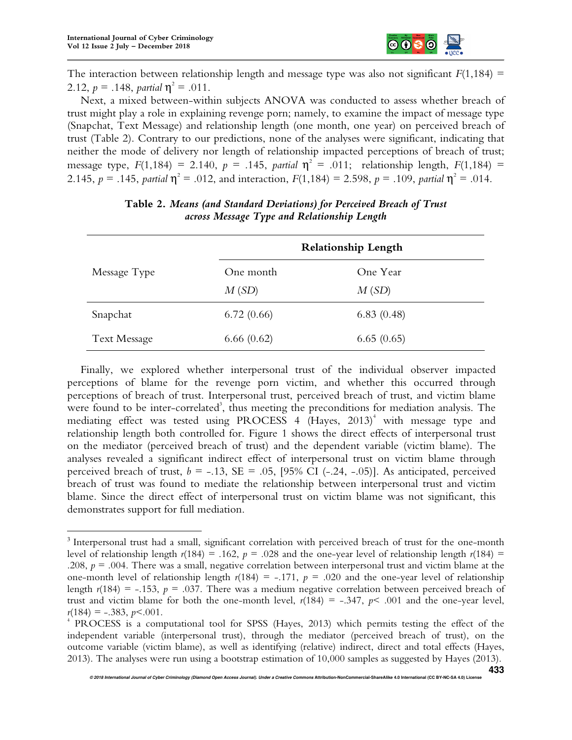l.



The interaction between relationship length and message type was also not significant  $F(1,184)$  = 2.12,  $p = .148$ , *partial*  $\eta^2 = .011$ .

Next, a mixed between-within subjects ANOVA was conducted to assess whether breach of trust might play a role in explaining revenge porn; namely, to examine the impact of message type (Snapchat, Text Message) and relationship length (one month, one year) on perceived breach of trust (Table 2). Contrary to our predictions, none of the analyses were significant, indicating that neither the mode of delivery nor length of relationship impacted perceptions of breach of trust; message type,  $F(1,184) = 2.140$ ,  $p = .145$ , *partial*  $\eta^2 = .011$ ; relationship length,  $F(1,184) =$ 2.145,  $p = .145$ , partial  $\eta^2 = .012$ , and interaction,  $F(1,184) = 2.598$ ,  $p = .109$ , partial  $\eta^2 = .014$ .

|                     | <b>Relationship Length</b> |            |  |
|---------------------|----------------------------|------------|--|
| Message Type        | One month                  | One Year   |  |
|                     | M(SD)                      | M(SD)      |  |
| Snapchat            | 6.72(0.66)                 | 6.83(0.48) |  |
| <b>Text Message</b> | 6.66(0.62)                 | 6.65(0.65) |  |

**Table 2.** *Means (and Standard Deviations) for Perceived Breach of Trust across Message Type and Relationship Length* 

Finally, we explored whether interpersonal trust of the individual observer impacted perceptions of blame for the revenge porn victim, and whether this occurred through perceptions of breach of trust. Interpersonal trust, perceived breach of trust, and victim blame were found to be inter-correlated<sup>3</sup>, thus meeting the preconditions for mediation analysis. The mediating effect was tested using PROCESS 4 (Hayes, 2013)<sup>4</sup> with message type and relationship length both controlled for. Figure 1 shows the direct effects of interpersonal trust on the mediator (perceived breach of trust) and the dependent variable (victim blame). The analyses revealed a significant indirect effect of interpersonal trust on victim blame through perceived breach of trust,  $b = -.13$ ,  $SE = .05$ , [95% CI (-.24, -.05)]. As anticipated, perceived breach of trust was found to mediate the relationship between interpersonal trust and victim blame. Since the direct effect of interpersonal trust on victim blame was not significant, this demonstrates support for full mediation.

<sup>&</sup>lt;sup>3</sup> Interpersonal trust had a small, significant correlation with perceived breach of trust for the one-month level of relationship length  $r(184) = .162$ ,  $p = .028$  and the one-year level of relationship length  $r(184) =$ .208,  $p = 0.004$ . There was a small, negative correlation between interpersonal trust and victim blame at the one-month level of relationship length  $r(184) = -.171$ ,  $p = .020$  and the one-year level of relationship length  $r(184) = -0.153$ ,  $p = 0.037$ . There was a medium negative correlation between perceived breach of trust and victim blame for both the one-month level,  $r(184) = -.347$ ,  $p < .001$  and the one-year level,  $r(184) = -.383, p < .001.$ 

<sup>4</sup> PROCESS is a computational tool for SPSS (Hayes, 2013) which permits testing the effect of the independent variable (interpersonal trust), through the mediator (perceived breach of trust), on the outcome variable (victim blame), as well as identifying (relative) indirect, direct and total effects (Hayes, 2013). The analyses were run using a bootstrap estimation of 10,000 samples as suggested by Hayes (2013).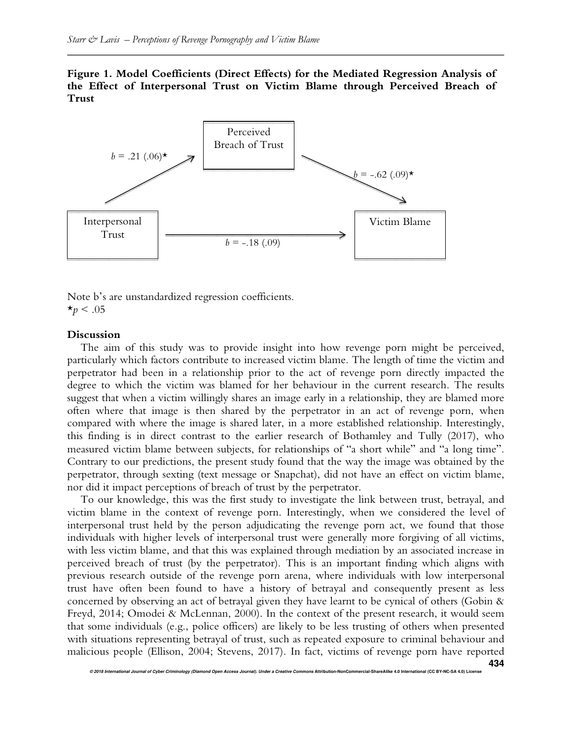**Figure 1. Model Coefficients (Direct Effects) for the Mediated Regression Analysis of the Effect of Interpersonal Trust on Victim Blame through Perceived Breach of Trust**



Note b's are unstandardized regression coefficients.  $\star_p$  < .05

#### **Discussion**

The aim of this study was to provide insight into how revenge porn might be perceived, particularly which factors contribute to increased victim blame. The length of time the victim and perpetrator had been in a relationship prior to the act of revenge porn directly impacted the degree to which the victim was blamed for her behaviour in the current research. The results suggest that when a victim willingly shares an image early in a relationship, they are blamed more often where that image is then shared by the perpetrator in an act of revenge porn, when compared with where the image is shared later, in a more established relationship. Interestingly, this finding is in direct contrast to the earlier research of Bothamley and Tully (2017), who measured victim blame between subjects, for relationships of "a short while" and "a long time". Contrary to our predictions, the present study found that the way the image was obtained by the perpetrator, through sexting (text message or Snapchat), did not have an effect on victim blame, nor did it impact perceptions of breach of trust by the perpetrator.

To our knowledge, this was the first study to investigate the link between trust, betrayal, and victim blame in the context of revenge porn. Interestingly, when we considered the level of interpersonal trust held by the person adjudicating the revenge porn act, we found that those individuals with higher levels of interpersonal trust were generally more forgiving of all victims, with less victim blame, and that this was explained through mediation by an associated increase in perceived breach of trust (by the perpetrator). This is an important finding which aligns with previous research outside of the revenge porn arena, where individuals with low interpersonal trust have often been found to have a history of betrayal and consequently present as less concerned by observing an act of betrayal given they have learnt to be cynical of others (Gobin & Freyd, 2014; Omodei & McLennan, 2000). In the context of the present research, it would seem that some individuals (e.g., police officers) are likely to be less trusting of others when presented with situations representing betrayal of trust, such as repeated exposure to criminal behaviour and malicious people (Ellison, 2004; Stevens, 2017). In fact, victims of revenge porn have reported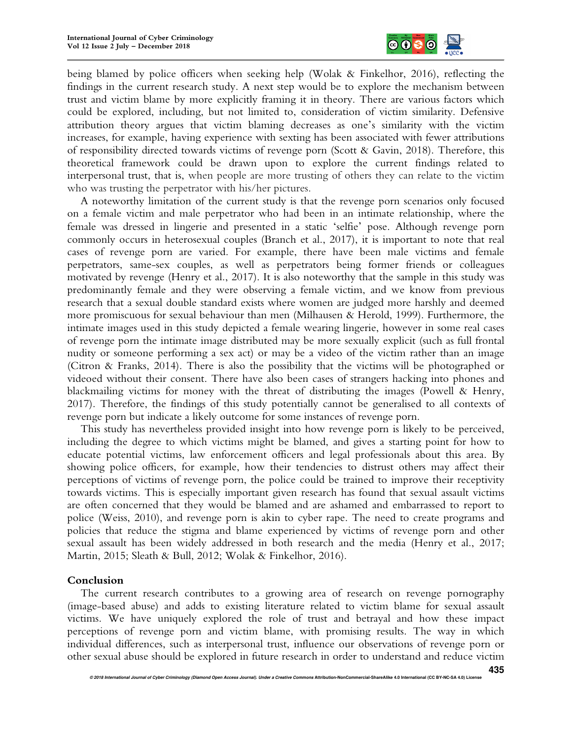

being blamed by police officers when seeking help (Wolak & Finkelhor, 2016), reflecting the findings in the current research study. A next step would be to explore the mechanism between trust and victim blame by more explicitly framing it in theory. There are various factors which could be explored, including, but not limited to, consideration of victim similarity. Defensive attribution theory argues that victim blaming decreases as one's similarity with the victim increases, for example, having experience with sexting has been associated with fewer attributions of responsibility directed towards victims of revenge porn (Scott & Gavin, 2018). Therefore, this theoretical framework could be drawn upon to explore the current findings related to interpersonal trust, that is, when people are more trusting of others they can relate to the victim who was trusting the perpetrator with his/her pictures.

A noteworthy limitation of the current study is that the revenge porn scenarios only focused on a female victim and male perpetrator who had been in an intimate relationship, where the female was dressed in lingerie and presented in a static 'selfie' pose. Although revenge porn commonly occurs in heterosexual couples (Branch et al., 2017), it is important to note that real cases of revenge porn are varied. For example, there have been male victims and female perpetrators, same-sex couples, as well as perpetrators being former friends or colleagues motivated by revenge (Henry et al., 2017). It is also noteworthy that the sample in this study was predominantly female and they were observing a female victim, and we know from previous research that a sexual double standard exists where women are judged more harshly and deemed more promiscuous for sexual behaviour than men (Milhausen & Herold, 1999). Furthermore, the intimate images used in this study depicted a female wearing lingerie, however in some real cases of revenge porn the intimate image distributed may be more sexually explicit (such as full frontal nudity or someone performing a sex act) or may be a video of the victim rather than an image (Citron & Franks, 2014). There is also the possibility that the victims will be photographed or videoed without their consent. There have also been cases of strangers hacking into phones and blackmailing victims for money with the threat of distributing the images (Powell & Henry, 2017). Therefore, the findings of this study potentially cannot be generalised to all contexts of revenge porn but indicate a likely outcome for some instances of revenge porn.

This study has nevertheless provided insight into how revenge porn is likely to be perceived, including the degree to which victims might be blamed, and gives a starting point for how to educate potential victims, law enforcement officers and legal professionals about this area. By showing police officers, for example, how their tendencies to distrust others may affect their perceptions of victims of revenge porn, the police could be trained to improve their receptivity towards victims. This is especially important given research has found that sexual assault victims are often concerned that they would be blamed and are ashamed and embarrassed to report to police (Weiss, 2010), and revenge porn is akin to cyber rape. The need to create programs and policies that reduce the stigma and blame experienced by victims of revenge porn and other sexual assault has been widely addressed in both research and the media (Henry et al., 2017; Martin, 2015; Sleath & Bull, 2012; Wolak & Finkelhor, 2016).

## **Conclusion**

The current research contributes to a growing area of research on revenge pornography (image-based abuse) and adds to existing literature related to victim blame for sexual assault victims. We have uniquely explored the role of trust and betrayal and how these impact perceptions of revenge porn and victim blame, with promising results. The way in which individual differences, such as interpersonal trust, influence our observations of revenge porn or other sexual abuse should be explored in future research in order to understand and reduce victim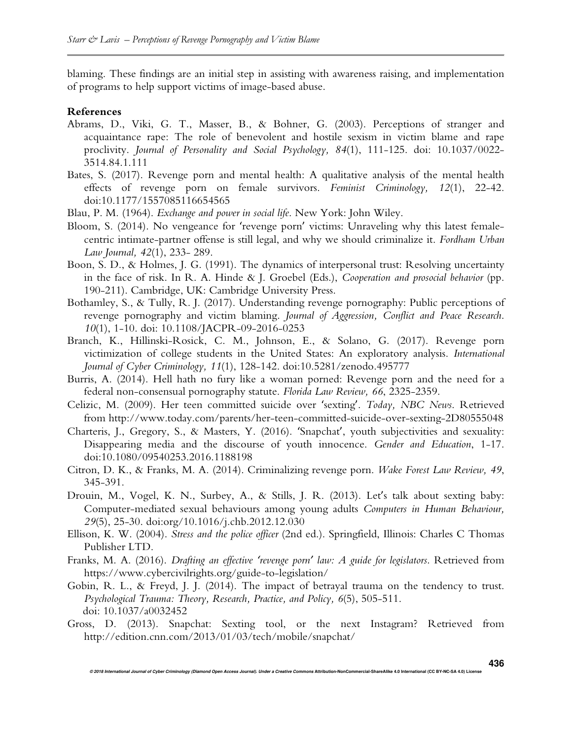blaming. These findings are an initial step in assisting with awareness raising, and implementation of programs to help support victims of image-based abuse.

#### **References**

- Abrams, D., Viki, G. T., Masser, B., & Bohner, G. (2003). Perceptions of stranger and acquaintance rape: The role of benevolent and hostile sexism in victim blame and rape proclivity. *Journal of Personality and Social Psychology, 84*(1), 111-125. doi: 10.1037/0022- 3514.84.1.111
- Bates, S. (2017). Revenge porn and mental health: A qualitative analysis of the mental health effects of revenge porn on female survivors. *Feminist Criminology, 12*(1), 22-42. doi:10.1177/1557085116654565
- Blau, P. M. (1964). *Exchange and power in social life*. New York: John Wiley.
- Bloom, S. (2014). No vengeance for 'revenge porn' victims: Unraveling why this latest femalecentric intimate-partner offense is still legal, and why we should criminalize it. *Fordham Urban Law Journal, 42*(1), 233- 289.
- Boon, S. D., & Holmes, J. G. (1991). The dynamics of interpersonal trust: Resolving uncertainty in the face of risk. In R. A. Hinde & J. Groebel (Eds.), *Cooperation and prosocial behavior* (pp. 190-211). Cambridge, UK: Cambridge University Press.
- Bothamley, S., & Tully, R. J. (2017). Understanding revenge pornography: Public perceptions of revenge pornography and victim blaming. *Journal of Aggression, Conflict and Peace Research*. *10*(1), 1-10. doi: 10.1108/JACPR-09-2016-0253
- Branch, K., Hillinski-Rosick, C. M., Johnson, E., & Solano, G. (2017). Revenge porn victimization of college students in the United States: An exploratory analysis. *International Journal of Cyber Criminology, 11*(1), 128-142. doi:10.5281/zenodo.495777
- Burris, A. (2014). Hell hath no fury like a woman porned: Revenge porn and the need for a federal non-consensual pornography statute. *Florida Law Review, 66*, 2325-2359.
- Celizic, M. (2009). Her teen committed suicide over 'sexting'. *Today, NBC News*. Retrieved from http://www.today.com/parents/her-teen-committed-suicide-over-sexting-2D80555048
- Charteris, J., Gregory, S., & Masters, Y. (2016). 'Snapchat', youth subjectivities and sexuality: Disappearing media and the discourse of youth innocence. *Gender and Education*, 1-17. doi:10.1080/09540253.2016.1188198
- Citron, D. K., & Franks, M. A. (2014). Criminalizing revenge porn. *Wake Forest Law Review, 49*, 345-391.
- Drouin, M., Vogel, K. N., Surbey, A., & Stills, J. R. (2013). Let's talk about sexting baby: Computer-mediated sexual behaviours among young adults *Computers in Human Behaviour, 29*(5), 25-30. doi:org/10.1016/j.chb.2012.12.030
- Ellison, K. W. (2004). *Stress and the police officer* (2nd ed.). Springfield, Illinois: Charles C Thomas Publisher LTD.
- Franks, M. A. (2016). *Drafting an effective 'revenge porn' law: A guide for legislators*. Retrieved from https://www.cybercivilrights.org/guide-to-legislation/
- Gobin, R. L., & Freyd, J. J. (2014). The impact of betrayal trauma on the tendency to trust. *Psychological Trauma: Theory, Research, Practice, and Policy, 6*(5), 505-511. doi: 10.1037/a0032452
- Gross, D. (2013). Snapchat: Sexting tool, or the next Instagram? Retrieved from http://edition.cnn.com/2013/01/03/tech/mobile/snapchat/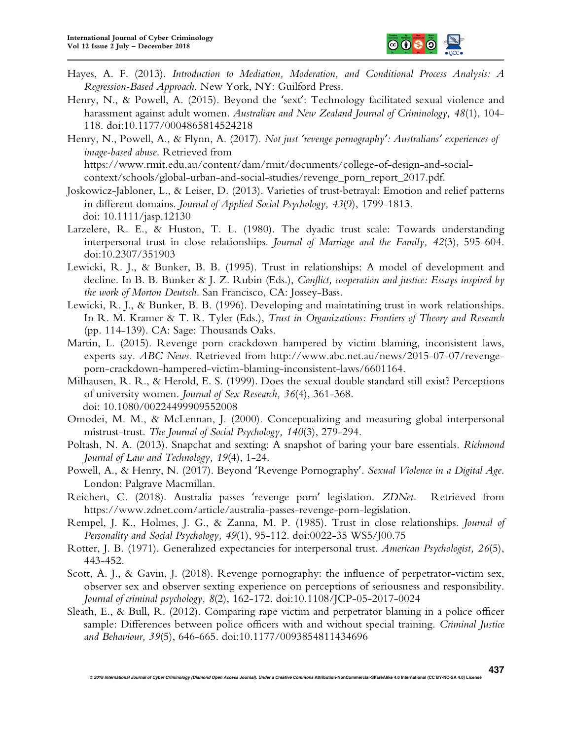

- Hayes, A. F. (2013). *Introduction to Mediation, Moderation, and Conditional Process Analysis: A Regression-Based Approach*. New York, NY: Guilford Press.
- Henry, N., & Powell, A. (2015). Beyond the 'sext': Technology facilitated sexual violence and harassment against adult women. *Australian and New Zealand Journal of Criminology, 48*(1), 104- 118. doi:10.1177/0004865814524218
- Henry, N., Powell, A., & Flynn, A. (2017). *Not just 'revenge pornography': Australians' experiences of image-based abuse*. Retrieved from https://www.rmit.edu.au/content/dam/rmit/documents/college-of-design-and-socialcontext/schools/global-urban-and-social-studies/revenge\_porn\_report\_2017.pdf.
- Joskowicz-Jabloner, L., & Leiser, D. (2013). Varieties of trust‐betrayal: Emotion and relief patterns in different domains. *Journal of Applied Social Psychology, 43*(9), 1799-1813. doi: 10.1111/jasp.12130
- Larzelere, R. E., & Huston, T. L. (1980). The dyadic trust scale: Towards understanding interpersonal trust in close relationships. *Journal of Marriage and the Family, 42*(3), 595-604. doi:10.2307/351903
- Lewicki, R. J., & Bunker, B. B. (1995). Trust in relationships: A model of development and decline. In B. B. Bunker & J. Z. Rubin (Eds.), *Conflict, cooperation and justice: Essays inspired by the work of Morton Deutsch*. San Francisco, CA: Jossey-Bass.
- Lewicki, R. J., & Bunker, B. B. (1996). Developing and maintatining trust in work relationships. In R. M. Kramer & T. R. Tyler (Eds.), *Trust in Organizations: Frontiers of Theory and Research* (pp. 114-139). CA: Sage: Thousands Oaks.
- Martin, L. (2015). Revenge porn crackdown hampered by victim blaming, inconsistent laws, experts say. *ABC News*. Retrieved from http://www.abc.net.au/news/2015-07-07/revengeporn-crackdown-hampered-victim-blaming-inconsistent-laws/6601164.
- Milhausen, R. R., & Herold, E. S. (1999). Does the sexual double standard still exist? Perceptions of university women. *Journal of Sex Research, 36*(4), 361-368. doi: 10.1080/00224499909552008
- Omodei, M. M., & McLennan, J. (2000). Conceptualizing and measuring global interpersonal mistrust-trust. *The Journal of Social Psychology, 140*(3), 279-294.
- Poltash, N. A. (2013). Snapchat and sexting: A snapshot of baring your bare essentials. *Richmond Journal of Law and Technology, 19*(4), 1-24.
- Powell, A., & Henry, N. (2017). Beyond 'Revenge Pornography'. *Sexual Violence in a Digital Age*. London: Palgrave Macmillan.
- Reichert, C. (2018). Australia passes 'revenge porn' legislation. *ZDNet.* Retrieved from https://www.zdnet.com/article/australia-passes-revenge-porn-legislation.
- Rempel, J. K., Holmes, J. G., & Zanna, M. P. (1985). Trust in close relationships. *Journal of Personality and Social Psychology, 49*(1), 95-112. doi:0022-35 WS5/J00.75
- Rotter, J. B. (1971). Generalized expectancies for interpersonal trust. *American Psychologist, 26*(5), 443-452.
- Scott, A. J., & Gavin, J. (2018). Revenge pornography: the influence of perpetrator-victim sex, observer sex and observer sexting experience on perceptions of seriousness and responsibility. *Journal of criminal psychology, 8*(2), 162-172. doi:10.1108/JCP-05-2017-0024
- Sleath, E., & Bull, R. (2012). Comparing rape victim and perpetrator blaming in a police officer sample: Differences between police officers with and without special training. *Criminal Justice and Behaviour, 39*(5), 646-665. doi:10.1177/0093854811434696